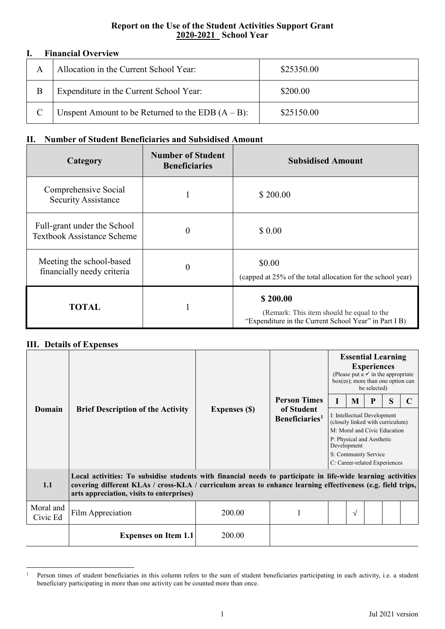## **Report on the Use of the Student Activities Support Grant 2020-2021\_ School Year**

## **I. Financial Overview**

|   | 1 111411VIII V I VI I IVII                           |            |  |  |  |  |
|---|------------------------------------------------------|------------|--|--|--|--|
| А | Allocation in the Current School Year:               | \$25350.00 |  |  |  |  |
| В | Expenditure in the Current School Year:              | \$200.00   |  |  |  |  |
|   | Unspent Amount to be Returned to the EDB $(A - B)$ : | \$25150.00 |  |  |  |  |

## **II. Number of Student Beneficiaries and Subsidised Amount**

| Category                                                         | <b>Number of Student</b><br><b>Beneficiaries</b> | <b>Subsidised Amount</b>                                                                                       |
|------------------------------------------------------------------|--------------------------------------------------|----------------------------------------------------------------------------------------------------------------|
| Comprehensive Social<br><b>Security Assistance</b>               |                                                  | \$200.00                                                                                                       |
| Full-grant under the School<br><b>Textbook Assistance Scheme</b> | $\Omega$                                         | \$0.00                                                                                                         |
| Meeting the school-based<br>financially needy criteria           | $\theta$                                         | \$0.00<br>(capped at 25% of the total allocation for the school year)                                          |
| <b>TOTAL</b>                                                     |                                                  | \$200.00<br>(Remark: This item should be equal to the<br>"Expenditure in the Current School Year" in Part I B) |

## **III. Details of Expenses**

|                       | <b>Brief Description of the Activity</b>                                                                                                                                                                                                                                 | <b>Expenses (\$)</b> | <b>Person Times</b><br>of Student<br>Beneficiaries <sup>1</sup> | <b>Essential Learning</b><br><b>Experiences</b><br>(Please put a $\checkmark$ in the appropriate<br>$box(es)$ ; more than one option can<br>be selected) |           |   |   |  |  |  |  |
|-----------------------|--------------------------------------------------------------------------------------------------------------------------------------------------------------------------------------------------------------------------------------------------------------------------|----------------------|-----------------------------------------------------------------|----------------------------------------------------------------------------------------------------------------------------------------------------------|-----------|---|---|--|--|--|--|
|                       |                                                                                                                                                                                                                                                                          |                      |                                                                 | L                                                                                                                                                        | M         | P | S |  |  |  |  |
| Domain                |                                                                                                                                                                                                                                                                          |                      |                                                                 | I: Intellectual Development<br>(closely linked with curriculum)                                                                                          |           |   |   |  |  |  |  |
|                       |                                                                                                                                                                                                                                                                          |                      |                                                                 | M: Moral and Civic Education<br>P: Physical and Aesthetic                                                                                                |           |   |   |  |  |  |  |
|                       |                                                                                                                                                                                                                                                                          |                      |                                                                 | Development<br>S: Community Service                                                                                                                      |           |   |   |  |  |  |  |
|                       |                                                                                                                                                                                                                                                                          |                      |                                                                 | C: Career-related Experiences                                                                                                                            |           |   |   |  |  |  |  |
| 1.1                   | Local activities: To subsidise students with financial needs to participate in life-wide learning activities<br>covering different KLAs / cross-KLA / curriculum areas to enhance learning effectiveness (e.g. field trips,<br>arts appreciation, visits to enterprises) |                      |                                                                 |                                                                                                                                                          |           |   |   |  |  |  |  |
| Moral and<br>Civic Ed | Film Appreciation                                                                                                                                                                                                                                                        | 200.00               |                                                                 |                                                                                                                                                          | $\sqrt{}$ |   |   |  |  |  |  |
|                       | <b>Expenses on Item 1.1</b>                                                                                                                                                                                                                                              | 200.00               |                                                                 |                                                                                                                                                          |           |   |   |  |  |  |  |

<span id="page-0-0"></span><sup>&</sup>lt;sup>1</sup> Person times of student beneficiaries in this column refers to the sum of student beneficiaries participating in each activity, i.e. a student beneficiary participating in more than one activity can be counted more than once.